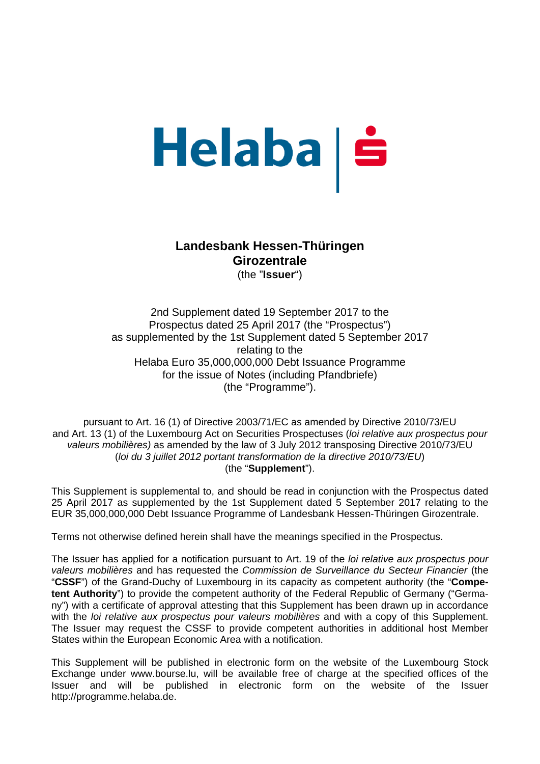# Helaba | š

## **Landesbank Hessen-Thüringen Girozentrale**

(the "**Issuer**")

2nd Supplement dated 19 September 2017 to the Prospectus dated 25 April 2017 (the "Prospectus") as supplemented by the 1st Supplement dated 5 September 2017 relating to the Helaba Euro 35,000,000,000 Debt Issuance Programme for the issue of Notes (including Pfandbriefe) (the "Programme").

pursuant to Art. 16 (1) of Directive 2003/71/EC as amended by Directive 2010/73/EU and Art. 13 (1) of the Luxembourg Act on Securities Prospectuses (*loi relative aux prospectus pour valeurs mobilières)* as amended by the law of 3 July 2012 transposing Directive 2010/73/EU (*loi du 3 juillet 2012 portant transformation de la directive 2010/73/EU*) (the "**Supplement**").

This Supplement is supplemental to, and should be read in conjunction with the Prospectus dated 25 April 2017 as supplemented by the 1st Supplement dated 5 September 2017 relating to the EUR 35,000,000,000 Debt Issuance Programme of Landesbank Hessen-Thüringen Girozentrale.

Terms not otherwise defined herein shall have the meanings specified in the Prospectus.

The Issuer has applied for a notification pursuant to Art. 19 of the *loi relative aux prospectus pour valeurs mobilières* and has requested the *Commission de Surveillance du Secteur Financier* (the "**CSSF**") of the Grand-Duchy of Luxembourg in its capacity as competent authority (the "**Competent Authority**") to provide the competent authority of the Federal Republic of Germany ("Germany") with a certificate of approval attesting that this Supplement has been drawn up in accordance with the *loi relative aux prospectus pour valeurs mobilières* and with a copy of this Supplement. The Issuer may request the CSSF to provide competent authorities in additional host Member States within the European Economic Area with a notification.

This Supplement will be published in electronic form on the website of the Luxembourg Stock Exchange under www.bourse.lu, will be available free of charge at the specified offices of the Issuer and will be published in electronic form on the website of the Issuer http://programme.helaba.de.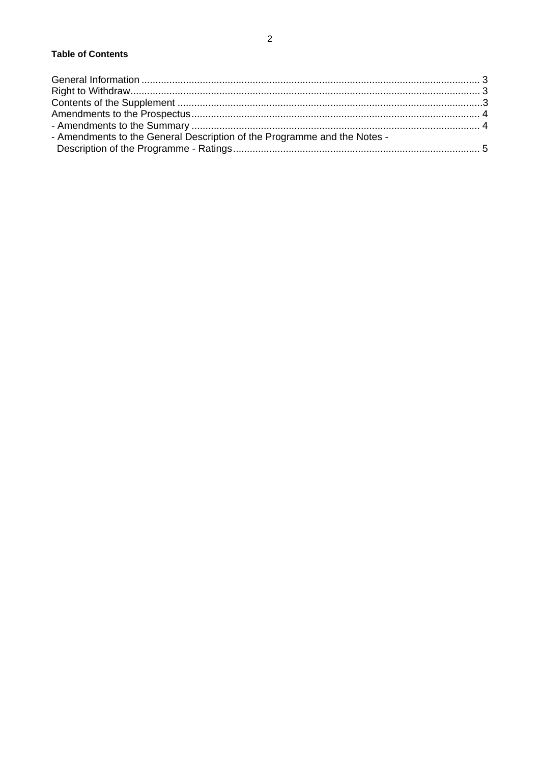| - Amendments to the General Description of the Programme and the Notes - |  |
|--------------------------------------------------------------------------|--|
|                                                                          |  |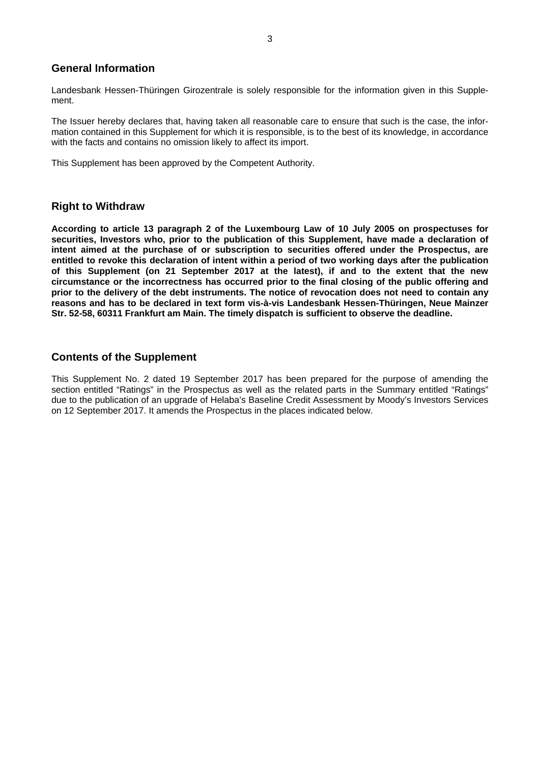#### **General Information**

Landesbank Hessen-Thüringen Girozentrale is solely responsible for the information given in this Supplement.

The Issuer hereby declares that, having taken all reasonable care to ensure that such is the case, the information contained in this Supplement for which it is responsible, is to the best of its knowledge, in accordance with the facts and contains no omission likely to affect its import.

This Supplement has been approved by the Competent Authority.

#### **Right to Withdraw**

**According to article 13 paragraph 2 of the Luxembourg Law of 10 July 2005 on prospectuses for securities, Investors who, prior to the publication of this Supplement, have made a declaration of intent aimed at the purchase of or subscription to securities offered under the Prospectus, are entitled to revoke this declaration of intent within a period of two working days after the publication of this Supplement (on 21 September 2017 at the latest), if and to the extent that the new circumstance or the incorrectness has occurred prior to the final closing of the public offering and prior to the delivery of the debt instruments. The notice of revocation does not need to contain any reasons and has to be declared in text form vis-à-vis Landesbank Hessen-Thüringen, Neue Mainzer Str. 52-58, 60311 Frankfurt am Main. The timely dispatch is sufficient to observe the deadline.** 

#### **Contents of the Supplement**

This Supplement No. 2 dated 19 September 2017 has been prepared for the purpose of amending the section entitled "Ratings" in the Prospectus as well as the related parts in the Summary entitled "Ratings" due to the publication of an upgrade of Helaba's Baseline Credit Assessment by Moody's Investors Services on 12 September 2017. It amends the Prospectus in the places indicated below.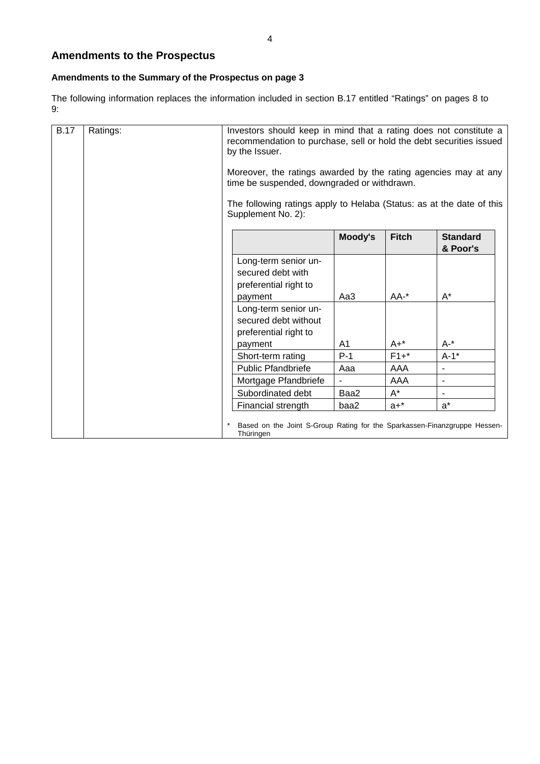### **Amendments to the Prospectus**

#### **Amendments to the Summary of the Prospectus on page 3**

The following information replaces the information included in section B.17 entitled "Ratings" on pages 8 to 9:

| <b>B.17</b> | Ratings: | Investors should keep in mind that a rating does not constitute a<br>recommendation to purchase, sell or hold the debt securities issued<br>by the Issuer.<br>Moreover, the ratings awarded by the rating agencies may at any<br>time be suspended, downgraded or withdrawn. |                                                                                             |         |              |                             |
|-------------|----------|------------------------------------------------------------------------------------------------------------------------------------------------------------------------------------------------------------------------------------------------------------------------------|---------------------------------------------------------------------------------------------|---------|--------------|-----------------------------|
|             |          |                                                                                                                                                                                                                                                                              |                                                                                             |         |              |                             |
|             |          |                                                                                                                                                                                                                                                                              | The following ratings apply to Helaba (Status: as at the date of this<br>Supplement No. 2): |         |              |                             |
|             |          |                                                                                                                                                                                                                                                                              |                                                                                             | Moody's | <b>Fitch</b> | <b>Standard</b><br>& Poor's |
|             |          |                                                                                                                                                                                                                                                                              | Long-term senior un-<br>secured debt with<br>preferential right to                          |         |              |                             |
|             |          |                                                                                                                                                                                                                                                                              | payment                                                                                     | Aa3     | $AA^{-*}$    | $A^*$                       |
|             |          |                                                                                                                                                                                                                                                                              | Long-term senior un-<br>secured debt without<br>preferential right to<br>payment            | A1      | $A+^*$       | $A -$ *                     |
|             |          |                                                                                                                                                                                                                                                                              | Short-term rating                                                                           | $P-1$   | $F1+$ *      | $A-1$ *                     |
|             |          |                                                                                                                                                                                                                                                                              | <b>Public Pfandbriefe</b>                                                                   | Aaa     | AAA          | $\overline{\phantom{a}}$    |
|             |          |                                                                                                                                                                                                                                                                              | Mortgage Pfandbriefe                                                                        |         | AAA          | $\blacksquare$              |
|             |          |                                                                                                                                                                                                                                                                              | Subordinated debt                                                                           | Baa2    | $A^*$        | $\blacksquare$              |
|             |          |                                                                                                                                                                                                                                                                              | Financial strength                                                                          | baa2    | $a+$ *       | $a^*$                       |
|             |          |                                                                                                                                                                                                                                                                              | Based on the Joint S-Group Rating for the Sparkassen-Finanzgruppe Hessen-<br>Thüringen      |         |              |                             |